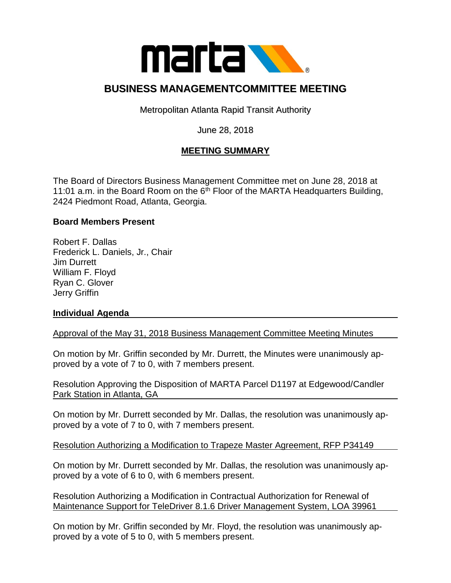

# **BUSINESS MANAGEMENTCOMMITTEE MEETING**

Metropolitan Atlanta Rapid Transit Authority

### June 28, 2018

## **MEETING SUMMARY**

The Board of Directors Business Management Committee met on June 28, 2018 at 11:01 a.m. in the Board Room on the  $6<sup>th</sup>$  Floor of the MARTA Headquarters Building, 2424 Piedmont Road, Atlanta, Georgia.

#### **Board Members Present**

Robert F. Dallas Frederick L. Daniels, Jr., Chair Jim Durrett William F. Floyd Ryan C. Glover Jerry Griffin

#### **Individual Agenda**

Approval of the May 31, 2018 Business Management Committee Meeting Minutes

On motion by Mr. Griffin seconded by Mr. Durrett, the Minutes were unanimously approved by a vote of 7 to 0, with 7 members present.

Resolution Approving the Disposition of MARTA Parcel D1197 at Edgewood/Candler Park Station in Atlanta, GA

On motion by Mr. Durrett seconded by Mr. Dallas, the resolution was unanimously approved by a vote of 7 to 0, with 7 members present.

Resolution Authorizing a Modification to Trapeze Master Agreement, RFP P34149

On motion by Mr. Durrett seconded by Mr. Dallas, the resolution was unanimously approved by a vote of 6 to 0, with 6 members present.

Resolution Authorizing a Modification in Contractual Authorization for Renewal of Maintenance Support for TeleDriver 8.1.6 Driver Management System, LOA 39961

On motion by Mr. Griffin seconded by Mr. Floyd, the resolution was unanimously approved by a vote of 5 to 0, with 5 members present.